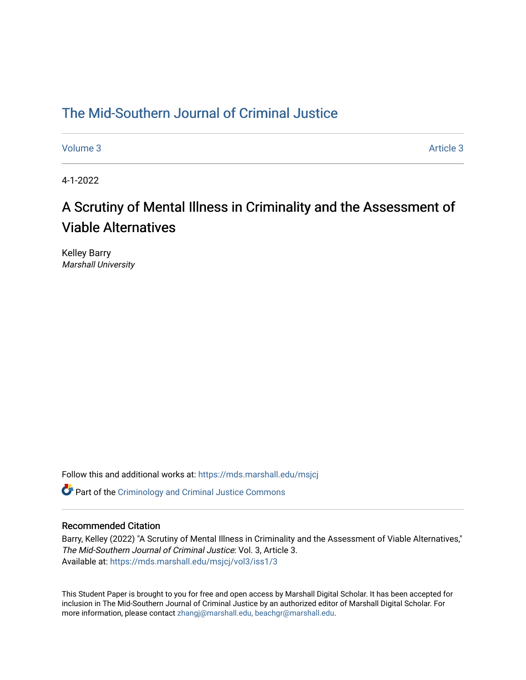# [The Mid-Southern Journal of Criminal Justice](https://mds.marshall.edu/msjcj)

[Volume 3](https://mds.marshall.edu/msjcj/vol3) Article 3

4-1-2022

# A Scrutiny of Mental Illness in Criminality and the Assessment of Viable Alternatives

Kelley Barry Marshall University

Follow this and additional works at: [https://mds.marshall.edu/msjcj](https://mds.marshall.edu/msjcj?utm_source=mds.marshall.edu%2Fmsjcj%2Fvol3%2Fiss1%2F3&utm_medium=PDF&utm_campaign=PDFCoverPages)

**C** Part of the [Criminology and Criminal Justice Commons](http://network.bepress.com/hgg/discipline/367?utm_source=mds.marshall.edu%2Fmsjcj%2Fvol3%2Fiss1%2F3&utm_medium=PDF&utm_campaign=PDFCoverPages)

# Recommended Citation

Barry, Kelley (2022) "A Scrutiny of Mental Illness in Criminality and the Assessment of Viable Alternatives," The Mid-Southern Journal of Criminal Justice: Vol. 3, Article 3. Available at: [https://mds.marshall.edu/msjcj/vol3/iss1/3](https://mds.marshall.edu/msjcj/vol3/iss1/3?utm_source=mds.marshall.edu%2Fmsjcj%2Fvol3%2Fiss1%2F3&utm_medium=PDF&utm_campaign=PDFCoverPages)

This Student Paper is brought to you for free and open access by Marshall Digital Scholar. It has been accepted for inclusion in The Mid-Southern Journal of Criminal Justice by an authorized editor of Marshall Digital Scholar. For more information, please contact [zhangj@marshall.edu, beachgr@marshall.edu](mailto:zhangj@marshall.edu,%20beachgr@marshall.edu).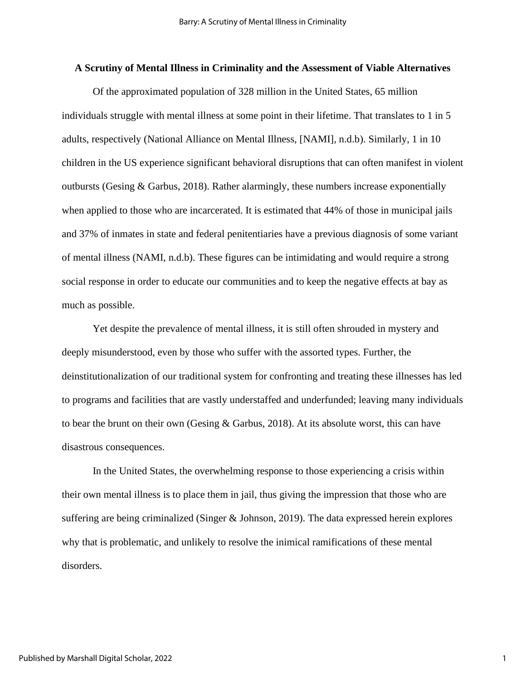# **A Scrutiny of Mental Illness in Criminality and the Assessment of Viable Alternatives**

Of the approximated population of 328 million in the United States, 65 million individuals struggle with mental illness at some point in their lifetime. That translates to 1 in 5 adults, respectively (National Alliance on Mental Illness, [NAMI], n.d.b). Similarly, 1 in 10 children in the US experience significant behavioral disruptions that can often manifest in violent outbursts (Gesing & Garbus, 2018). Rather alarmingly, these numbers increase exponentially when applied to those who are incarcerated. It is estimated that 44% of those in municipal jails and 37% of inmates in state and federal penitentiaries have a previous diagnosis of some variant of mental illness (NAMI, n.d.b). These figures can be intimidating and would require a strong social response in order to educate our communities and to keep the negative effects at bay as much as possible.

Yet despite the prevalence of mental illness, it is still often shrouded in mystery and deeply misunderstood, even by those who suffer with the assorted types. Further, the deinstitutionalization of our traditional system for confronting and treating these illnesses has led to programs and facilities that are vastly understaffed and underfunded; leaving many individuals to bear the brunt on their own (Gesing & Garbus, 2018). At its absolute worst, this can have disastrous consequences.

In the United States, the overwhelming response to those experiencing a crisis within their own mental illness is to place them in jail, thus giving the impression that those who are suffering are being criminalized (Singer & Johnson, 2019). The data expressed herein explores why that is problematic, and unlikely to resolve the inimical ramifications of these mental disorders.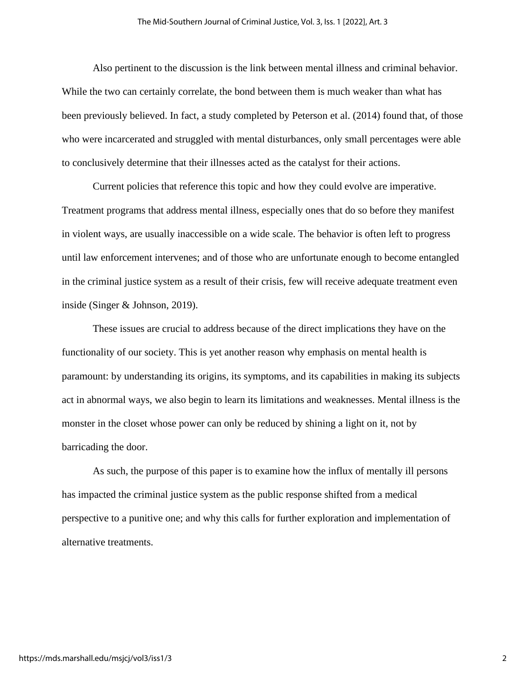Also pertinent to the discussion is the link between mental illness and criminal behavior. While the two can certainly correlate, the bond between them is much weaker than what has been previously believed. In fact, a study completed by Peterson et al. (2014) found that, of those who were incarcerated and struggled with mental disturbances, only small percentages were able to conclusively determine that their illnesses acted as the catalyst for their actions.

Current policies that reference this topic and how they could evolve are imperative. Treatment programs that address mental illness, especially ones that do so before they manifest in violent ways, are usually inaccessible on a wide scale. The behavior is often left to progress until law enforcement intervenes; and of those who are unfortunate enough to become entangled in the criminal justice system as a result of their crisis, few will receive adequate treatment even inside (Singer & Johnson, 2019).

These issues are crucial to address because of the direct implications they have on the functionality of our society. This is yet another reason why emphasis on mental health is paramount: by understanding its origins, its symptoms, and its capabilities in making its subjects act in abnormal ways, we also begin to learn its limitations and weaknesses. Mental illness is the monster in the closet whose power can only be reduced by shining a light on it, not by barricading the door.

As such, the purpose of this paper is to examine how the influx of mentally ill persons has impacted the criminal justice system as the public response shifted from a medical perspective to a punitive one; and why this calls for further exploration and implementation of alternative treatments.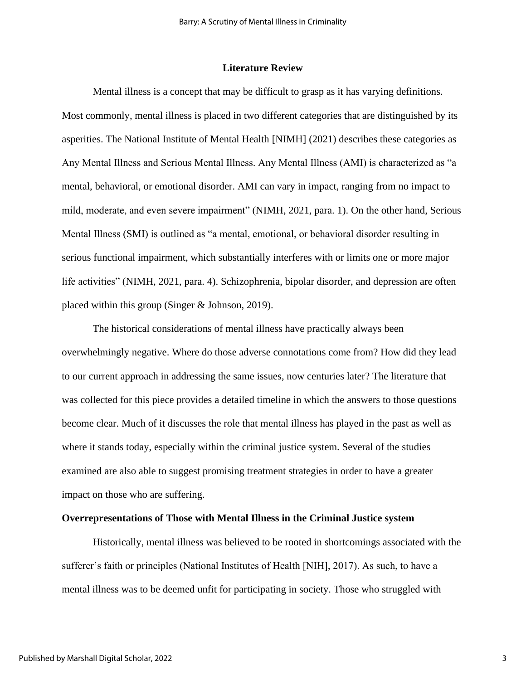#### **Literature Review**

Mental illness is a concept that may be difficult to grasp as it has varying definitions. Most commonly, mental illness is placed in two different categories that are distinguished by its asperities. The National Institute of Mental Health [NIMH] (2021) describes these categories as Any Mental Illness and Serious Mental Illness. Any Mental Illness (AMI) is characterized as "a mental, behavioral, or emotional disorder. AMI can vary in impact, ranging from no impact to mild, moderate, and even severe impairment" (NIMH, 2021, para. 1). On the other hand, Serious Mental Illness (SMI) is outlined as "a mental, emotional, or behavioral disorder resulting in serious functional impairment, which substantially interferes with or limits one or more major life activities" (NIMH, 2021, para. 4). Schizophrenia, bipolar disorder, and depression are often placed within this group (Singer & Johnson, 2019).

The historical considerations of mental illness have practically always been overwhelmingly negative. Where do those adverse connotations come from? How did they lead to our current approach in addressing the same issues, now centuries later? The literature that was collected for this piece provides a detailed timeline in which the answers to those questions become clear. Much of it discusses the role that mental illness has played in the past as well as where it stands today, especially within the criminal justice system. Several of the studies examined are also able to suggest promising treatment strategies in order to have a greater impact on those who are suffering.

#### **Overrepresentations of Those with Mental Illness in the Criminal Justice system**

Historically, mental illness was believed to be rooted in shortcomings associated with the sufferer's faith or principles (National Institutes of Health [NIH], 2017). As such, to have a mental illness was to be deemed unfit for participating in society. Those who struggled with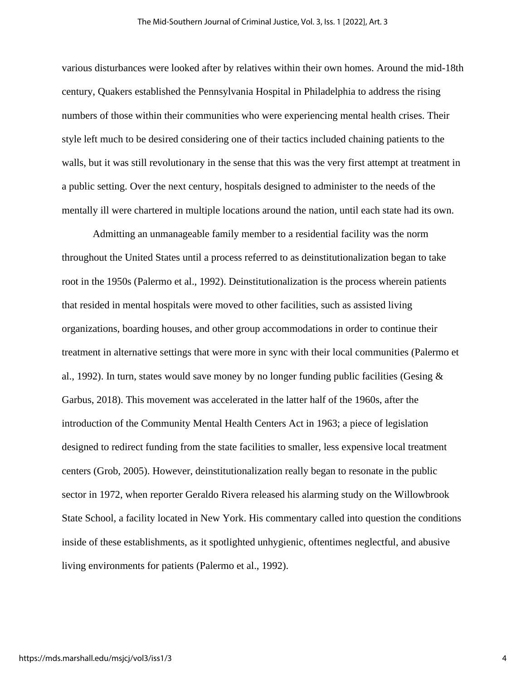various disturbances were looked after by relatives within their own homes. Around the mid-18th century, Quakers established the Pennsylvania Hospital in Philadelphia to address the rising numbers of those within their communities who were experiencing mental health crises. Their style left much to be desired considering one of their tactics included chaining patients to the walls, but it was still revolutionary in the sense that this was the very first attempt at treatment in a public setting. Over the next century, hospitals designed to administer to the needs of the mentally ill were chartered in multiple locations around the nation, until each state had its own.

Admitting an unmanageable family member to a residential facility was the norm throughout the United States until a process referred to as deinstitutionalization began to take root in the 1950s (Palermo et al., 1992). Deinstitutionalization is the process wherein patients that resided in mental hospitals were moved to other facilities, such as assisted living organizations, boarding houses, and other group accommodations in order to continue their treatment in alternative settings that were more in sync with their local communities (Palermo et al., 1992). In turn, states would save money by no longer funding public facilities (Gesing  $\&$ Garbus, 2018). This movement was accelerated in the latter half of the 1960s, after the introduction of the Community Mental Health Centers Act in 1963; a piece of legislation designed to redirect funding from the state facilities to smaller, less expensive local treatment centers (Grob, 2005). However, deinstitutionalization really began to resonate in the public sector in 1972, when reporter Geraldo Rivera released his alarming study on the Willowbrook State School, a facility located in New York. His commentary called into question the conditions inside of these establishments, as it spotlighted unhygienic, oftentimes neglectful, and abusive living environments for patients (Palermo et al., 1992).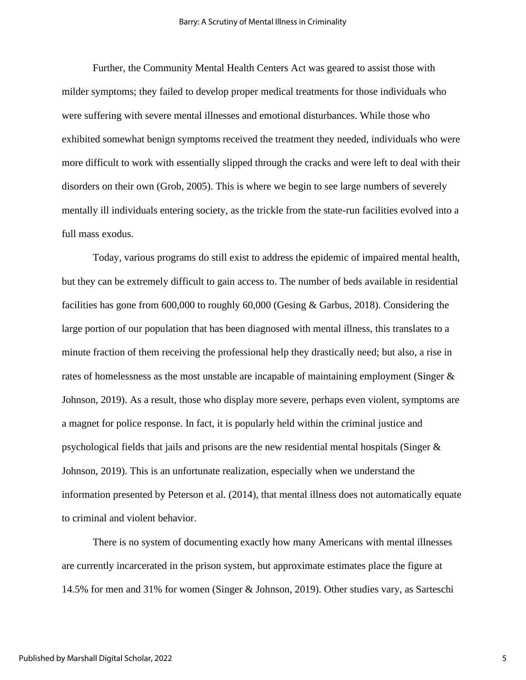Further, the Community Mental Health Centers Act was geared to assist those with milder symptoms; they failed to develop proper medical treatments for those individuals who were suffering with severe mental illnesses and emotional disturbances. While those who exhibited somewhat benign symptoms received the treatment they needed, individuals who were more difficult to work with essentially slipped through the cracks and were left to deal with their disorders on their own (Grob, 2005). This is where we begin to see large numbers of severely mentally ill individuals entering society, as the trickle from the state-run facilities evolved into a full mass exodus.

Today, various programs do still exist to address the epidemic of impaired mental health, but they can be extremely difficult to gain access to. The number of beds available in residential facilities has gone from 600,000 to roughly 60,000 (Gesing & Garbus, 2018). Considering the large portion of our population that has been diagnosed with mental illness, this translates to a minute fraction of them receiving the professional help they drastically need; but also, a rise in rates of homelessness as the most unstable are incapable of maintaining employment (Singer & Johnson, 2019). As a result, those who display more severe, perhaps even violent, symptoms are a magnet for police response. In fact, it is popularly held within the criminal justice and psychological fields that jails and prisons are the new residential mental hospitals (Singer & Johnson, 2019). This is an unfortunate realization, especially when we understand the information presented by Peterson et al. (2014), that mental illness does not automatically equate to criminal and violent behavior.

There is no system of documenting exactly how many Americans with mental illnesses are currently incarcerated in the prison system, but approximate estimates place the figure at 14.5% for men and 31% for women (Singer & Johnson, 2019). Other studies vary, as Sarteschi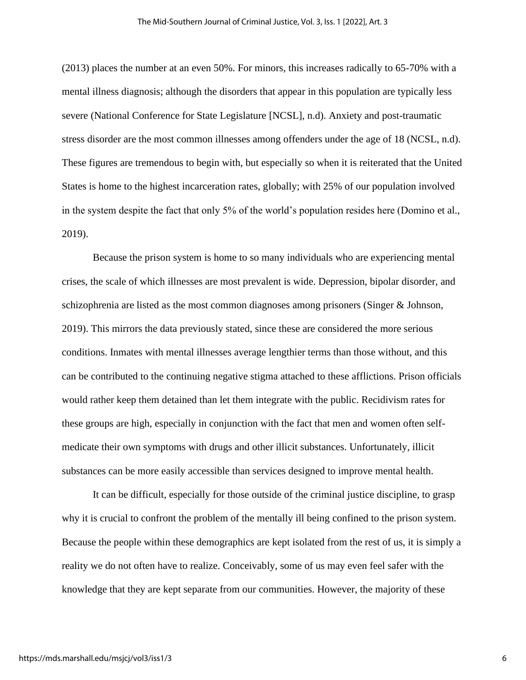(2013) places the number at an even 50%. For minors, this increases radically to 65-70% with a mental illness diagnosis; although the disorders that appear in this population are typically less severe (National Conference for State Legislature [NCSL], n.d). Anxiety and post-traumatic stress disorder are the most common illnesses among offenders under the age of 18 (NCSL, n.d). These figures are tremendous to begin with, but especially so when it is reiterated that the United States is home to the highest incarceration rates, globally; with 25% of our population involved in the system despite the fact that only 5% of the world's population resides here (Domino et al., 2019).

Because the prison system is home to so many individuals who are experiencing mental crises, the scale of which illnesses are most prevalent is wide. Depression, bipolar disorder, and schizophrenia are listed as the most common diagnoses among prisoners (Singer & Johnson, 2019). This mirrors the data previously stated, since these are considered the more serious conditions. Inmates with mental illnesses average lengthier terms than those without, and this can be contributed to the continuing negative stigma attached to these afflictions. Prison officials would rather keep them detained than let them integrate with the public. Recidivism rates for these groups are high, especially in conjunction with the fact that men and women often selfmedicate their own symptoms with drugs and other illicit substances. Unfortunately, illicit substances can be more easily accessible than services designed to improve mental health.

It can be difficult, especially for those outside of the criminal justice discipline, to grasp why it is crucial to confront the problem of the mentally ill being confined to the prison system. Because the people within these demographics are kept isolated from the rest of us, it is simply a reality we do not often have to realize. Conceivably, some of us may even feel safer with the knowledge that they are kept separate from our communities. However, the majority of these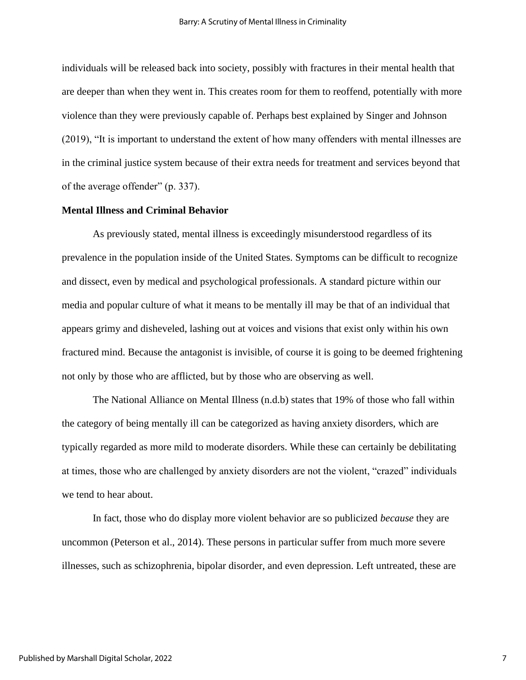individuals will be released back into society, possibly with fractures in their mental health that are deeper than when they went in. This creates room for them to reoffend, potentially with more violence than they were previously capable of. Perhaps best explained by Singer and Johnson (2019), "It is important to understand the extent of how many offenders with mental illnesses are in the criminal justice system because of their extra needs for treatment and services beyond that of the average offender" (p. 337).

#### **Mental Illness and Criminal Behavior**

As previously stated, mental illness is exceedingly misunderstood regardless of its prevalence in the population inside of the United States. Symptoms can be difficult to recognize and dissect, even by medical and psychological professionals. A standard picture within our media and popular culture of what it means to be mentally ill may be that of an individual that appears grimy and disheveled, lashing out at voices and visions that exist only within his own fractured mind. Because the antagonist is invisible, of course it is going to be deemed frightening not only by those who are afflicted, but by those who are observing as well.

The National Alliance on Mental Illness (n.d.b) states that 19% of those who fall within the category of being mentally ill can be categorized as having anxiety disorders, which are typically regarded as more mild to moderate disorders. While these can certainly be debilitating at times, those who are challenged by anxiety disorders are not the violent, "crazed" individuals we tend to hear about.

In fact, those who do display more violent behavior are so publicized *because* they are uncommon (Peterson et al., 2014). These persons in particular suffer from much more severe illnesses, such as schizophrenia, bipolar disorder, and even depression. Left untreated, these are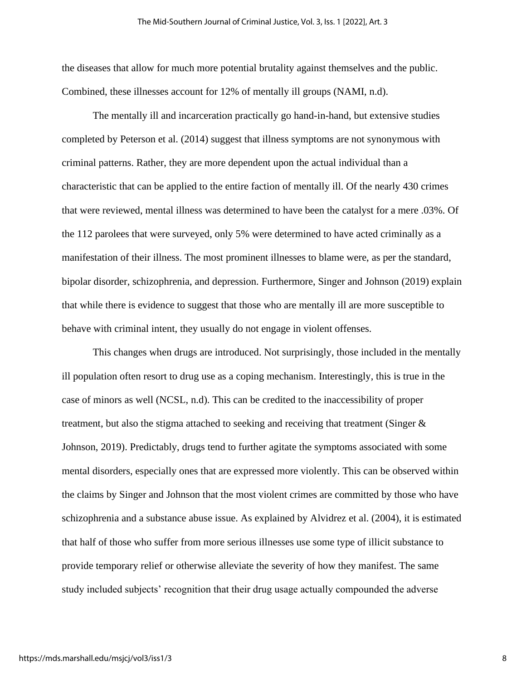the diseases that allow for much more potential brutality against themselves and the public. Combined, these illnesses account for 12% of mentally ill groups (NAMI, n.d).

The mentally ill and incarceration practically go hand-in-hand, but extensive studies completed by Peterson et al. (2014) suggest that illness symptoms are not synonymous with criminal patterns. Rather, they are more dependent upon the actual individual than a characteristic that can be applied to the entire faction of mentally ill. Of the nearly 430 crimes that were reviewed, mental illness was determined to have been the catalyst for a mere .03%. Of the 112 parolees that were surveyed, only 5% were determined to have acted criminally as a manifestation of their illness. The most prominent illnesses to blame were, as per the standard, bipolar disorder, schizophrenia, and depression. Furthermore, Singer and Johnson (2019) explain that while there is evidence to suggest that those who are mentally ill are more susceptible to behave with criminal intent, they usually do not engage in violent offenses.

This changes when drugs are introduced. Not surprisingly, those included in the mentally ill population often resort to drug use as a coping mechanism. Interestingly, this is true in the case of minors as well (NCSL, n.d). This can be credited to the inaccessibility of proper treatment, but also the stigma attached to seeking and receiving that treatment (Singer & Johnson, 2019). Predictably, drugs tend to further agitate the symptoms associated with some mental disorders, especially ones that are expressed more violently. This can be observed within the claims by Singer and Johnson that the most violent crimes are committed by those who have schizophrenia and a substance abuse issue. As explained by Alvidrez et al. (2004), it is estimated that half of those who suffer from more serious illnesses use some type of illicit substance to provide temporary relief or otherwise alleviate the severity of how they manifest. The same study included subjects' recognition that their drug usage actually compounded the adverse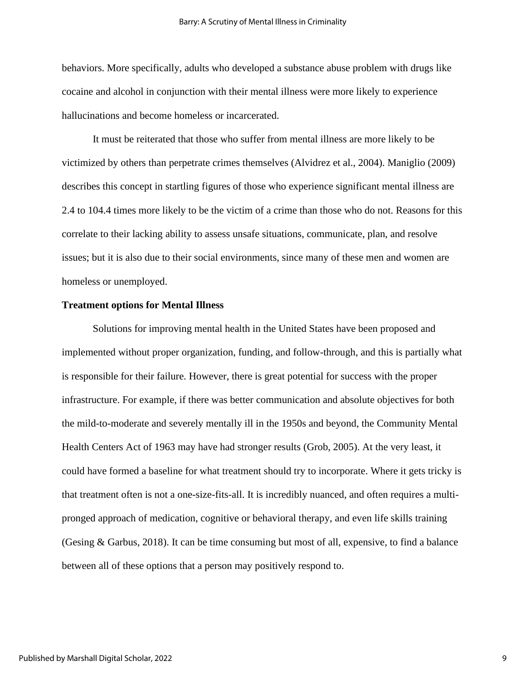behaviors. More specifically, adults who developed a substance abuse problem with drugs like cocaine and alcohol in conjunction with their mental illness were more likely to experience hallucinations and become homeless or incarcerated.

It must be reiterated that those who suffer from mental illness are more likely to be victimized by others than perpetrate crimes themselves (Alvidrez et al., 2004). Maniglio (2009) describes this concept in startling figures of those who experience significant mental illness are 2.4 to 104.4 times more likely to be the victim of a crime than those who do not. Reasons for this correlate to their lacking ability to assess unsafe situations, communicate, plan, and resolve issues; but it is also due to their social environments, since many of these men and women are homeless or unemployed.

#### **Treatment options for Mental Illness**

Solutions for improving mental health in the United States have been proposed and implemented without proper organization, funding, and follow-through, and this is partially what is responsible for their failure. However, there is great potential for success with the proper infrastructure. For example, if there was better communication and absolute objectives for both the mild-to-moderate and severely mentally ill in the 1950s and beyond, the Community Mental Health Centers Act of 1963 may have had stronger results (Grob, 2005). At the very least, it could have formed a baseline for what treatment should try to incorporate. Where it gets tricky is that treatment often is not a one-size-fits-all. It is incredibly nuanced, and often requires a multipronged approach of medication, cognitive or behavioral therapy, and even life skills training (Gesing & Garbus, 2018). It can be time consuming but most of all, expensive, to find a balance between all of these options that a person may positively respond to.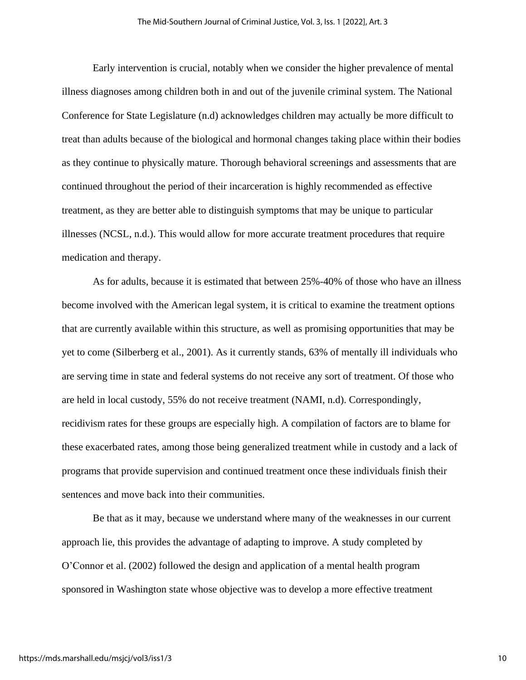Early intervention is crucial, notably when we consider the higher prevalence of mental illness diagnoses among children both in and out of the juvenile criminal system. The National Conference for State Legislature (n.d) acknowledges children may actually be more difficult to treat than adults because of the biological and hormonal changes taking place within their bodies as they continue to physically mature. Thorough behavioral screenings and assessments that are continued throughout the period of their incarceration is highly recommended as effective treatment, as they are better able to distinguish symptoms that may be unique to particular illnesses (NCSL, n.d.). This would allow for more accurate treatment procedures that require medication and therapy.

As for adults, because it is estimated that between 25%-40% of those who have an illness become involved with the American legal system, it is critical to examine the treatment options that are currently available within this structure, as well as promising opportunities that may be yet to come (Silberberg et al., 2001). As it currently stands, 63% of mentally ill individuals who are serving time in state and federal systems do not receive any sort of treatment. Of those who are held in local custody, 55% do not receive treatment (NAMI, n.d). Correspondingly, recidivism rates for these groups are especially high. A compilation of factors are to blame for these exacerbated rates, among those being generalized treatment while in custody and a lack of programs that provide supervision and continued treatment once these individuals finish their sentences and move back into their communities.

Be that as it may, because we understand where many of the weaknesses in our current approach lie, this provides the advantage of adapting to improve. A study completed by O'Connor et al. (2002) followed the design and application of a mental health program sponsored in Washington state whose objective was to develop a more effective treatment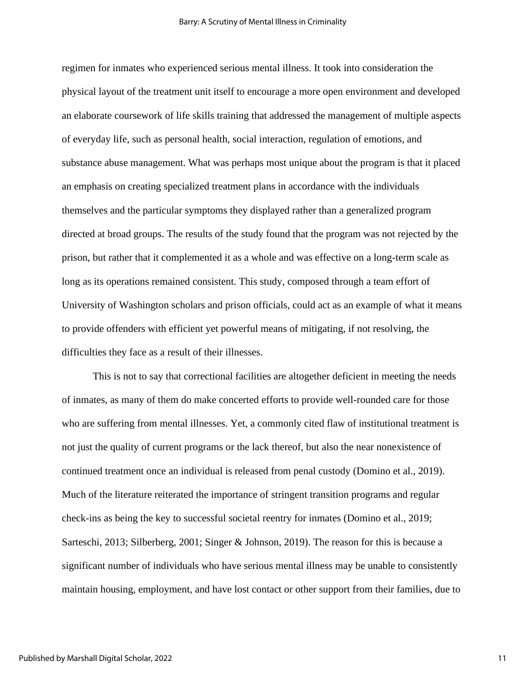regimen for inmates who experienced serious mental illness. It took into consideration the physical layout of the treatment unit itself to encourage a more open environment and developed an elaborate coursework of life skills training that addressed the management of multiple aspects of everyday life, such as personal health, social interaction, regulation of emotions, and substance abuse management. What was perhaps most unique about the program is that it placed an emphasis on creating specialized treatment plans in accordance with the individuals themselves and the particular symptoms they displayed rather than a generalized program directed at broad groups. The results of the study found that the program was not rejected by the prison, but rather that it complemented it as a whole and was effective on a long-term scale as long as its operations remained consistent. This study, composed through a team effort of University of Washington scholars and prison officials, could act as an example of what it means to provide offenders with efficient yet powerful means of mitigating, if not resolving, the difficulties they face as a result of their illnesses.

This is not to say that correctional facilities are altogether deficient in meeting the needs of inmates, as many of them do make concerted efforts to provide well-rounded care for those who are suffering from mental illnesses. Yet, a commonly cited flaw of institutional treatment is not just the quality of current programs or the lack thereof, but also the near nonexistence of continued treatment once an individual is released from penal custody (Domino et al., 2019). Much of the literature reiterated the importance of stringent transition programs and regular check-ins as being the key to successful societal reentry for inmates (Domino et al., 2019; Sarteschi, 2013; Silberberg, 2001; Singer & Johnson, 2019). The reason for this is because a significant number of individuals who have serious mental illness may be unable to consistently maintain housing, employment, and have lost contact or other support from their families, due to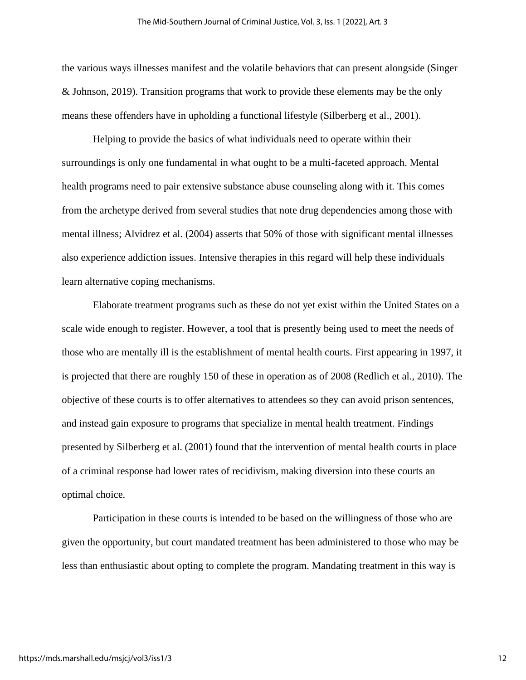the various ways illnesses manifest and the volatile behaviors that can present alongside (Singer & Johnson, 2019). Transition programs that work to provide these elements may be the only means these offenders have in upholding a functional lifestyle (Silberberg et al., 2001).

Helping to provide the basics of what individuals need to operate within their surroundings is only one fundamental in what ought to be a multi-faceted approach. Mental health programs need to pair extensive substance abuse counseling along with it. This comes from the archetype derived from several studies that note drug dependencies among those with mental illness; Alvidrez et al. (2004) asserts that 50% of those with significant mental illnesses also experience addiction issues. Intensive therapies in this regard will help these individuals learn alternative coping mechanisms.

Elaborate treatment programs such as these do not yet exist within the United States on a scale wide enough to register. However, a tool that is presently being used to meet the needs of those who are mentally ill is the establishment of mental health courts. First appearing in 1997, it is projected that there are roughly 150 of these in operation as of 2008 (Redlich et al., 2010). The objective of these courts is to offer alternatives to attendees so they can avoid prison sentences, and instead gain exposure to programs that specialize in mental health treatment. Findings presented by Silberberg et al. (2001) found that the intervention of mental health courts in place of a criminal response had lower rates of recidivism, making diversion into these courts an optimal choice.

Participation in these courts is intended to be based on the willingness of those who are given the opportunity, but court mandated treatment has been administered to those who may be less than enthusiastic about opting to complete the program. Mandating treatment in this way is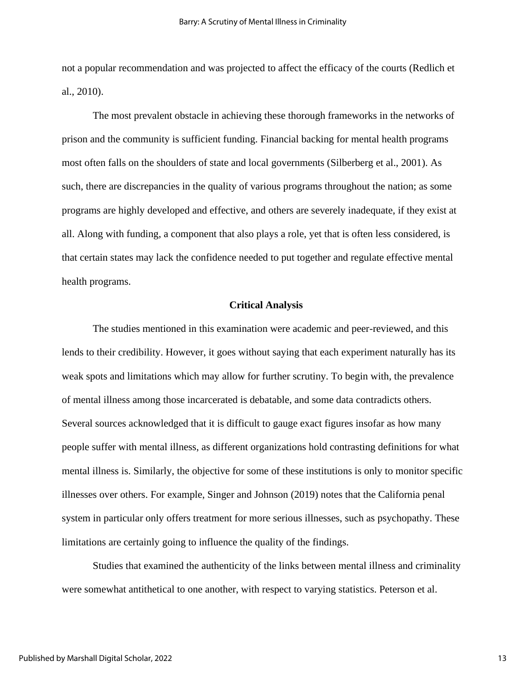not a popular recommendation and was projected to affect the efficacy of the courts (Redlich et al., 2010).

The most prevalent obstacle in achieving these thorough frameworks in the networks of prison and the community is sufficient funding. Financial backing for mental health programs most often falls on the shoulders of state and local governments (Silberberg et al., 2001). As such, there are discrepancies in the quality of various programs throughout the nation; as some programs are highly developed and effective, and others are severely inadequate, if they exist at all. Along with funding, a component that also plays a role, yet that is often less considered, is that certain states may lack the confidence needed to put together and regulate effective mental health programs.

### **Critical Analysis**

The studies mentioned in this examination were academic and peer-reviewed, and this lends to their credibility. However, it goes without saying that each experiment naturally has its weak spots and limitations which may allow for further scrutiny. To begin with, the prevalence of mental illness among those incarcerated is debatable, and some data contradicts others. Several sources acknowledged that it is difficult to gauge exact figures insofar as how many people suffer with mental illness, as different organizations hold contrasting definitions for what mental illness is. Similarly, the objective for some of these institutions is only to monitor specific illnesses over others. For example, Singer and Johnson (2019) notes that the California penal system in particular only offers treatment for more serious illnesses, such as psychopathy. These limitations are certainly going to influence the quality of the findings.

Studies that examined the authenticity of the links between mental illness and criminality were somewhat antithetical to one another, with respect to varying statistics. Peterson et al.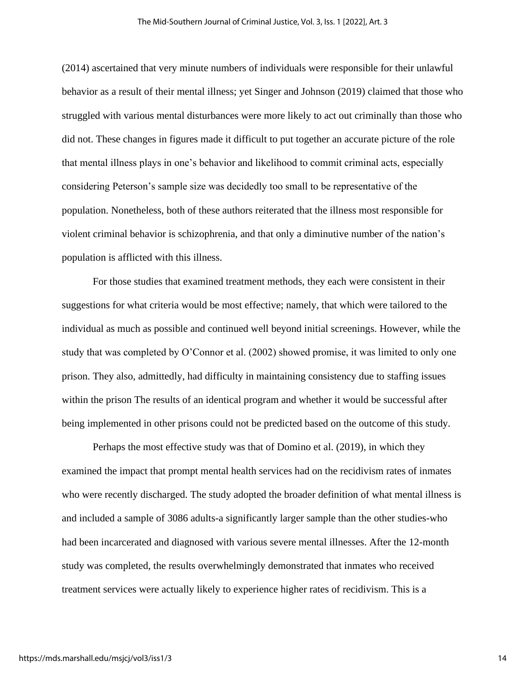(2014) ascertained that very minute numbers of individuals were responsible for their unlawful behavior as a result of their mental illness; yet Singer and Johnson (2019) claimed that those who struggled with various mental disturbances were more likely to act out criminally than those who did not. These changes in figures made it difficult to put together an accurate picture of the role that mental illness plays in one's behavior and likelihood to commit criminal acts, especially considering Peterson's sample size was decidedly too small to be representative of the population. Nonetheless, both of these authors reiterated that the illness most responsible for violent criminal behavior is schizophrenia, and that only a diminutive number of the nation's population is afflicted with this illness.

For those studies that examined treatment methods, they each were consistent in their suggestions for what criteria would be most effective; namely, that which were tailored to the individual as much as possible and continued well beyond initial screenings. However, while the study that was completed by O'Connor et al. (2002) showed promise, it was limited to only one prison. They also, admittedly, had difficulty in maintaining consistency due to staffing issues within the prison The results of an identical program and whether it would be successful after being implemented in other prisons could not be predicted based on the outcome of this study.

Perhaps the most effective study was that of Domino et al. (2019), in which they examined the impact that prompt mental health services had on the recidivism rates of inmates who were recently discharged. The study adopted the broader definition of what mental illness is and included a sample of 3086 adults-a significantly larger sample than the other studies-who had been incarcerated and diagnosed with various severe mental illnesses. After the 12-month study was completed, the results overwhelmingly demonstrated that inmates who received treatment services were actually likely to experience higher rates of recidivism. This is a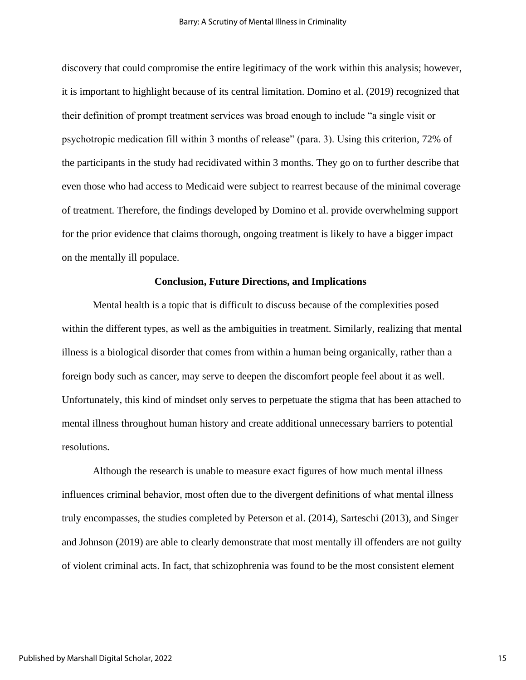discovery that could compromise the entire legitimacy of the work within this analysis; however, it is important to highlight because of its central limitation. Domino et al. (2019) recognized that their definition of prompt treatment services was broad enough to include "a single visit or psychotropic medication fill within 3 months of release" (para. 3). Using this criterion, 72% of the participants in the study had recidivated within 3 months. They go on to further describe that even those who had access to Medicaid were subject to rearrest because of the minimal coverage of treatment. Therefore, the findings developed by Domino et al. provide overwhelming support for the prior evidence that claims thorough, ongoing treatment is likely to have a bigger impact on the mentally ill populace.

#### **Conclusion, Future Directions, and Implications**

Mental health is a topic that is difficult to discuss because of the complexities posed within the different types, as well as the ambiguities in treatment. Similarly, realizing that mental illness is a biological disorder that comes from within a human being organically, rather than a foreign body such as cancer, may serve to deepen the discomfort people feel about it as well. Unfortunately, this kind of mindset only serves to perpetuate the stigma that has been attached to mental illness throughout human history and create additional unnecessary barriers to potential resolutions.

Although the research is unable to measure exact figures of how much mental illness influences criminal behavior, most often due to the divergent definitions of what mental illness truly encompasses, the studies completed by Peterson et al. (2014), Sarteschi (2013), and Singer and Johnson (2019) are able to clearly demonstrate that most mentally ill offenders are not guilty of violent criminal acts. In fact, that schizophrenia was found to be the most consistent element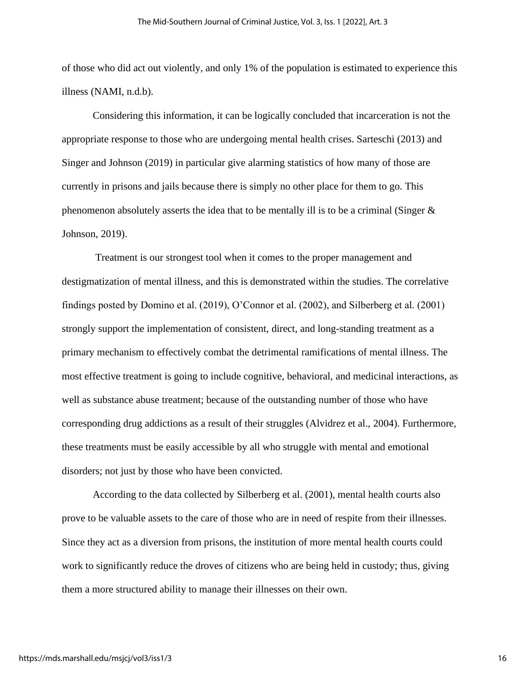of those who did act out violently, and only 1% of the population is estimated to experience this illness (NAMI, n.d.b).

Considering this information, it can be logically concluded that incarceration is not the appropriate response to those who are undergoing mental health crises. Sarteschi (2013) and Singer and Johnson (2019) in particular give alarming statistics of how many of those are currently in prisons and jails because there is simply no other place for them to go. This phenomenon absolutely asserts the idea that to be mentally ill is to be a criminal (Singer  $\&$ Johnson, 2019).

Treatment is our strongest tool when it comes to the proper management and destigmatization of mental illness, and this is demonstrated within the studies. The correlative findings posted by Domino et al. (2019), O'Connor et al. (2002), and Silberberg et al. (2001) strongly support the implementation of consistent, direct, and long-standing treatment as a primary mechanism to effectively combat the detrimental ramifications of mental illness. The most effective treatment is going to include cognitive, behavioral, and medicinal interactions, as well as substance abuse treatment; because of the outstanding number of those who have corresponding drug addictions as a result of their struggles (Alvidrez et al., 2004). Furthermore, these treatments must be easily accessible by all who struggle with mental and emotional disorders; not just by those who have been convicted.

According to the data collected by Silberberg et al. (2001), mental health courts also prove to be valuable assets to the care of those who are in need of respite from their illnesses. Since they act as a diversion from prisons, the institution of more mental health courts could work to significantly reduce the droves of citizens who are being held in custody; thus, giving them a more structured ability to manage their illnesses on their own.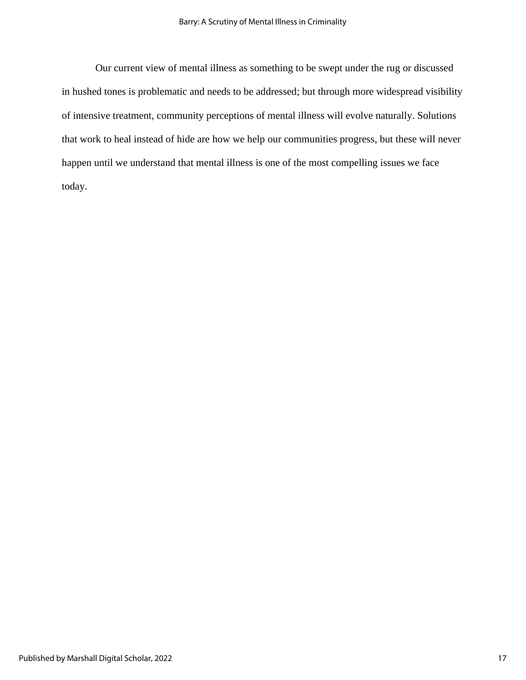Our current view of mental illness as something to be swept under the rug or discussed in hushed tones is problematic and needs to be addressed; but through more widespread visibility of intensive treatment, community perceptions of mental illness will evolve naturally. Solutions that work to heal instead of hide are how we help our communities progress, but these will never happen until we understand that mental illness is one of the most compelling issues we face today.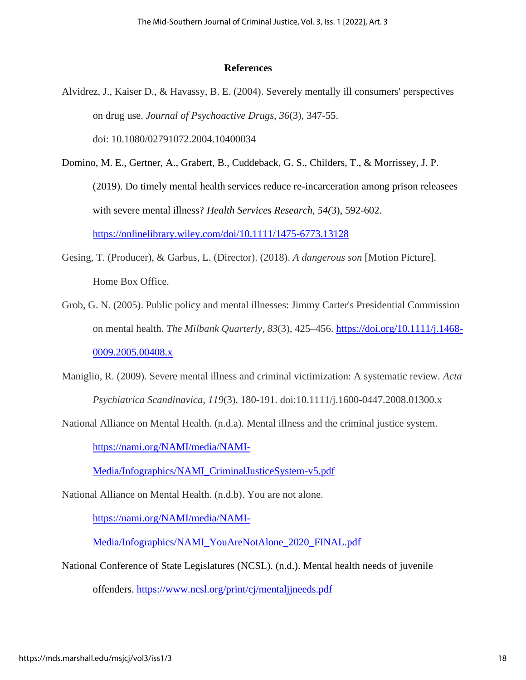#### **References**

- Alvidrez, J., Kaiser D., & Havassy, B. E. (2004). Severely mentally ill consumers' perspectives on drug use. *Journal of Psychoactive Drugs*, *36*(3)*,* 347-55. doi: 10.1080/02791072.2004.10400034
- Domino, M. E., Gertner, A., Grabert, B., Cuddeback, G. S., Childers, T., & Morrissey, J. P. (2019). Do timely mental health services reduce re-incarceration among prison releasees with severe mental illness? *Health Services Research, 54(*3), 592-602. <https://onlinelibrary.wiley.com/doi/10.1111/1475-6773.13128>
- Gesing, T. (Producer), & Garbus, L. (Director). (2018). *A dangerous son* [Motion Picture]. Home Box Office.
- Grob, G. N. (2005). Public policy and mental illnesses: Jimmy Carter's Presidential Commission on mental health. *The Milbank Quarterly*, *83*(3), 425–456. [https://doi.org/10.1111/j.1468-](https://doi.org/10.1111/j.1468-0009.2005.00408.x) [0009.2005.00408.x](https://doi.org/10.1111/j.1468-0009.2005.00408.x)
- Maniglio, R. (2009). Severe mental illness and criminal victimization: A systematic review. *Acta Psychiatrica Scandinavica, 119*(3), 180-191. doi:10.1111/j.1600-0447.2008.01300.x
- National Alliance on Mental Health. (n.d.a). Mental illness and the criminal justice system.

[https://nami.org/NAMI/media/NAMI-](https://nami.org/NAMI/media/NAMI-Media/Infographics/NAMI_CriminalJusticeSystem-v5.pdf)

[Media/Infographics/NAMI\\_CriminalJusticeSystem-v5.pdf](https://nami.org/NAMI/media/NAMI-Media/Infographics/NAMI_CriminalJusticeSystem-v5.pdf)

National Alliance on Mental Health. (n.d.b). You are not alone.

[https://nami.org/NAMI/media/NAMI-](https://nami.org/NAMI/media/NAMI-Media/Infographics/NAMI_YouAreNotAlone_2020_FINAL.pdf)

[Media/Infographics/NAMI\\_YouAreNotAlone\\_2020\\_FINAL.pdf](https://nami.org/NAMI/media/NAMI-Media/Infographics/NAMI_YouAreNotAlone_2020_FINAL.pdf)

National Conference of State Legislatures (NCSL). (n.d.). Mental health needs of juvenile

offenders.<https://www.ncsl.org/print/cj/mentaljjneeds.pdf>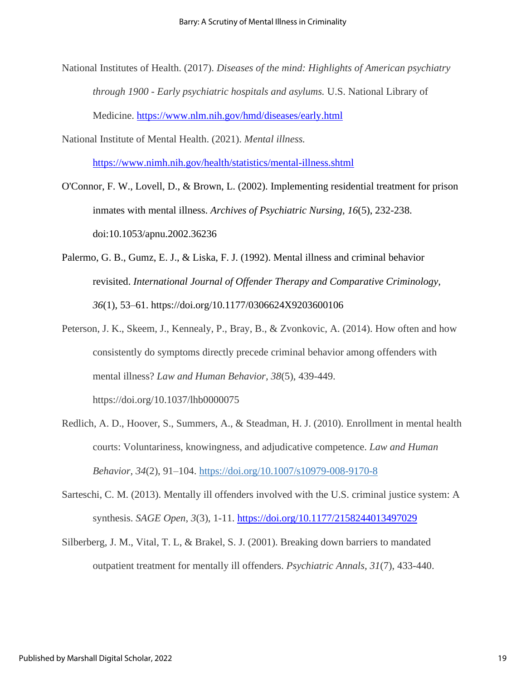- National Institutes of Health. (2017). *Diseases of the mind: Highlights of American psychiatry through 1900 - Early psychiatric hospitals and asylums.* U.S. National Library of Medicine.<https://www.nlm.nih.gov/hmd/diseases/early.html>
- National Institute of Mental Health. (2021). *Mental illness.*  <https://www.nimh.nih.gov/health/statistics/mental-illness.shtml>
- O'Connor, F. W., Lovell, D., & Brown, L. (2002). Implementing residential treatment for prison inmates with mental illness. *Archives of Psychiatric Nursing, 16*(5), 232-238. doi:10.1053/apnu.2002.36236
- Palermo, G. B., Gumz, E. J., & Liska, F. J. (1992). Mental illness and criminal behavior revisited. *International Journal of Offender Therapy and Comparative Criminology, 36*(1), 53–61. https://doi.org/10.1177/0306624X9203600106
- Peterson, J. K., Skeem, J., Kennealy, P., Bray, B., & Zvonkovic, A. (2014). How often and how consistently do symptoms directly precede criminal behavior among offenders with mental illness? *Law and Human Behavior, 38*(5), 439-449. https://doi.org/10.1037/lhb0000075
- Redlich, A. D., Hoover, S., Summers, A., & Steadman, H. J. (2010). Enrollment in mental health courts: Voluntariness, knowingness, and adjudicative competence. *Law and Human Behavior, 34*(2), 91–104. [https://doi.org/10.1007/s10979-008-9170-8](https://psycnet.apa.org/doi/10.1007/s10979-008-9170-8)
- Sarteschi, C. M. (2013). Mentally ill offenders involved with the U.S. criminal justice system: A synthesis. *SAGE Open*, *3*(3), 1-11.<https://doi.org/10.1177/2158244013497029>
- Silberberg, J. M., Vital, T. L, & Brakel, S. J. (2001). Breaking down barriers to mandated outpatient treatment for mentally ill offenders. *Psychiatric Annals, 31*(7), 433-440.